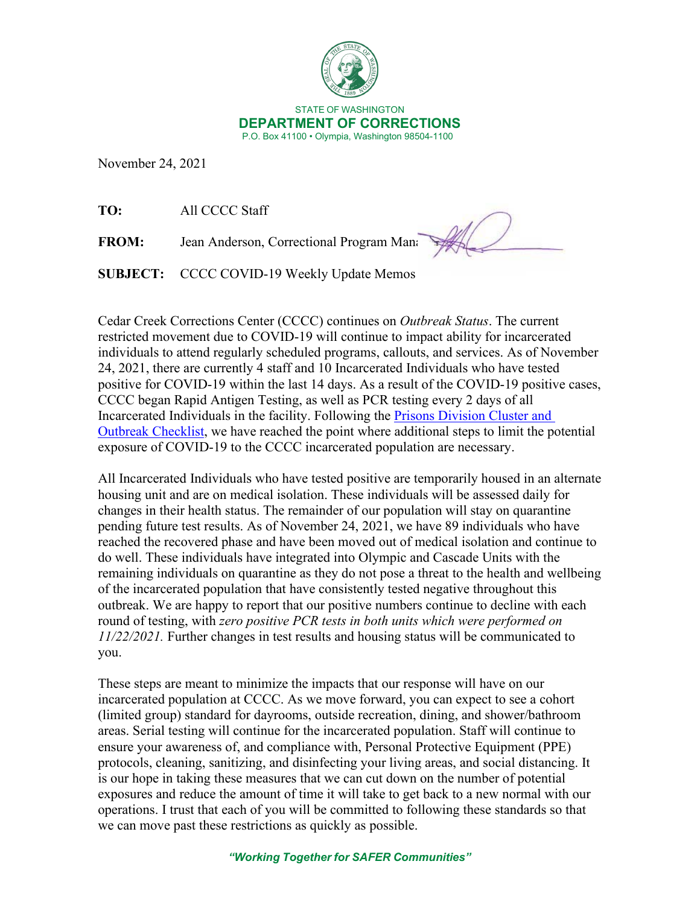

November 24, 2021

**TO:** All CCCC Staff

**FROM:** Jean Anderson, Correctional Program Mana

**SUBJECT:** CCCC COVID-19 Weekly Update Memos

Cedar Creek Corrections Center (CCCC) continues on *Outbreak Status*. The current restricted movement due to COVID-19 will continue to impact ability for incarcerated individuals to attend regularly scheduled programs, callouts, and services. As of November 24, 2021, there are currently 4 staff and 10 Incarcerated Individuals who have tested positive for COVID-19 within the last 14 days. As a result of the COVID-19 positive cases, CCCC began Rapid Antigen Testing, as well as PCR testing every 2 days of all Incarcerated Individuals in the facility. Following the [Prisons Division Cluster and](https://doc.wa.gov/corrections/covid-19/docs/outbreak-checklist.pdf)  [Outbreak Checklist,](https://doc.wa.gov/corrections/covid-19/docs/outbreak-checklist.pdf) we have reached the point where additional steps to limit the potential exposure of COVID-19 to the CCCC incarcerated population are necessary.

All Incarcerated Individuals who have tested positive are temporarily housed in an alternate housing unit and are on medical isolation. These individuals will be assessed daily for changes in their health status. The remainder of our population will stay on quarantine pending future test results. As of November 24, 2021, we have 89 individuals who have reached the recovered phase and have been moved out of medical isolation and continue to do well. These individuals have integrated into Olympic and Cascade Units with the remaining individuals on quarantine as they do not pose a threat to the health and wellbeing of the incarcerated population that have consistently tested negative throughout this outbreak. We are happy to report that our positive numbers continue to decline with each round of testing, with *zero positive PCR tests in both units which were performed on 11/22/2021.* Further changes in test results and housing status will be communicated to you.

These steps are meant to minimize the impacts that our response will have on our incarcerated population at CCCC. As we move forward, you can expect to see a cohort (limited group) standard for dayrooms, outside recreation, dining, and shower/bathroom areas. Serial testing will continue for the incarcerated population. Staff will continue to ensure your awareness of, and compliance with, Personal Protective Equipment (PPE) protocols, cleaning, sanitizing, and disinfecting your living areas, and social distancing. It is our hope in taking these measures that we can cut down on the number of potential exposures and reduce the amount of time it will take to get back to a new normal with our operations. I trust that each of you will be committed to following these standards so that we can move past these restrictions as quickly as possible.